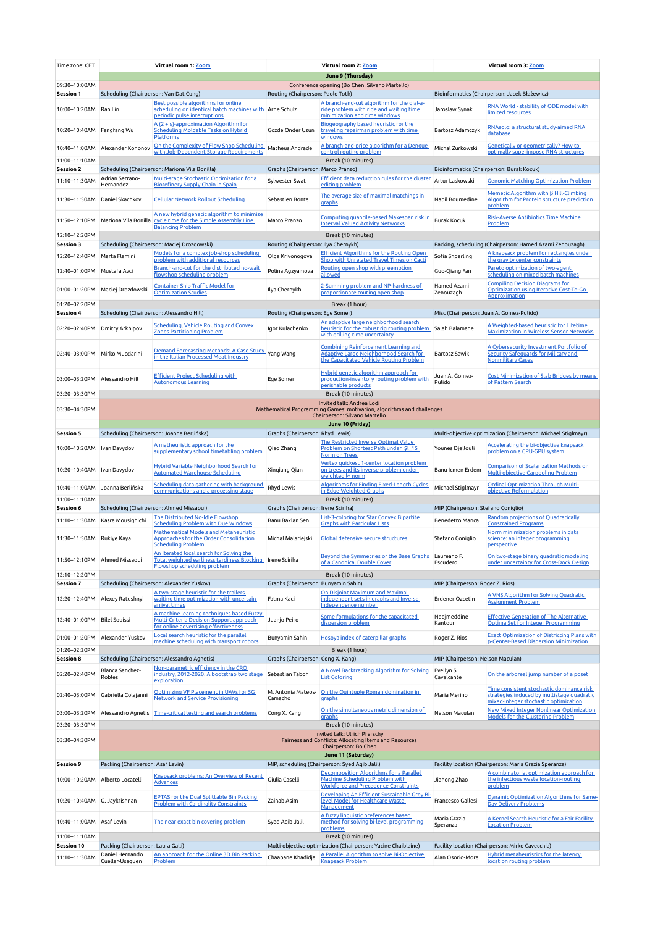| Time zone: CET                    | Virtual room 1: Zoom                                                                                                                                                  |                                                                                                                                               | Virtual room 2: Zoom                                       |                                                                                                                                  | Virtual room 3: Zoom                                          |                                                                                                                         |  |  |  |  |
|-----------------------------------|-----------------------------------------------------------------------------------------------------------------------------------------------------------------------|-----------------------------------------------------------------------------------------------------------------------------------------------|------------------------------------------------------------|----------------------------------------------------------------------------------------------------------------------------------|---------------------------------------------------------------|-------------------------------------------------------------------------------------------------------------------------|--|--|--|--|
|                                   | June 9 (Thursday)                                                                                                                                                     |                                                                                                                                               |                                                            |                                                                                                                                  |                                                               |                                                                                                                         |  |  |  |  |
| 09:30-10:00AM<br>Session 1        | Scheduling (Chairperson: Van-Dat Cung)                                                                                                                                |                                                                                                                                               | Routing (Chairperson: Paolo Toth)                          | Conference opening (Bo Chen, Silvano Martello)                                                                                   | Bioinformatics (Chairperson: Jacek Błażewicz)                 |                                                                                                                         |  |  |  |  |
| 10:00-10:20AM Ran Lin             |                                                                                                                                                                       | Best possible algorithms for online<br>scheduling on identical batch machines with Arne Schulz<br>periodic pulse interruptions                |                                                            | A branch-and-cut algorithm for the dial-a-<br>ride problem with ride and waiting time<br>minimization and time windows           | Jaroslaw Synak                                                | RNA World - stability of ODE model with<br>limited resources                                                            |  |  |  |  |
| 10:20-10:40AM Fangfang Wu         |                                                                                                                                                                       | $A(2 + \epsilon)$ -approximation Algorithm for<br>Scheduling Moldable Tasks on Hybrid<br><b>Platforms</b>                                     | Gozde Onder Uzun                                           | Biogeography based heuristic for the<br>traveling repairman problem with time<br><u>windows</u>                                  | Bartosz Adamczyk                                              | RNAsolo: a structural study-aimed RNA<br>database                                                                       |  |  |  |  |
|                                   | 10:40-11:00AM Alexander Kononov                                                                                                                                       | On the Complexity of Flow Shop Scheduling<br>with Job-Dependent Storage Requirements                                                          | Matheus Andrade                                            | A branch-and-price algorithm for a Dengue<br><u>control routing problem</u>                                                      | Michal Zurkowski                                              | <b>Genetically or geometrically? How to</b><br>optimally superimpose RNA structures                                     |  |  |  |  |
| 11:00-11:10AM                     |                                                                                                                                                                       |                                                                                                                                               | Break (10 minutes)                                         |                                                                                                                                  | Bioinformatics (Chairperson: Burak Kocuk)                     |                                                                                                                         |  |  |  |  |
| <b>Session 2</b><br>11:10-11:30AM | Adrian Serrano-                                                                                                                                                       | Scheduling (Chairperson: Mariona Vila Bonilla)<br>Multi-stage Stochastic Optimization for a                                                   | Graphs (Chairperson: Marco Pranzo)<br>Sylwester Swat       | <b>Efficient data reduction rules for the cluster</b>                                                                            | Artur Laskowski                                               | <b>Genomic Matching Optimization Problem</b>                                                                            |  |  |  |  |
|                                   | Hernandez                                                                                                                                                             | <b>Biorefinery Supply Chain in Spain</b>                                                                                                      |                                                            | editing problem                                                                                                                  |                                                               |                                                                                                                         |  |  |  |  |
| 11:30-11:50AM Daniel Skachkov     |                                                                                                                                                                       | <b>Cellular Network Rollout Scheduling</b>                                                                                                    | Sebastien Bonte                                            | The average size of maximal matchings in<br>graphs                                                                               | Nabil Boumedine                                               | Memetic Algorithm with $\beta$ Hill-Climbing<br>Algorithm for Protein structure prediction<br>problem                   |  |  |  |  |
| 11:50-12:10PM                     |                                                                                                                                                                       | A new hybrid genetic algorithm to minimize<br>Mariona Vila Bonilla cycle time for the Simple Assembly Line<br><b>Balancing Problem</b>        | Marco Pranzo                                               | <u>Computing quantile-based Makespan risk in</u><br><b>Interval Valued Activity Networks</b>                                     | <b>Burak Kocuk</b>                                            | Risk-Averse Antibiotics Time Machine<br>Problem                                                                         |  |  |  |  |
| 12:10-12:20PM<br><b>Session 3</b> | Break (10 minutes)<br>Scheduling (Chairperson: Maciej Drozdowski)<br>Routing (Chairperson: Ilya Chernykh)<br>Packing, scheduling (Chairperson: Hamed Azami Zenouzagh) |                                                                                                                                               |                                                            |                                                                                                                                  |                                                               |                                                                                                                         |  |  |  |  |
| 12:20-12:40PM                     | Marta Flamini                                                                                                                                                         | Models for a complex job-shop scheduling                                                                                                      | Olga Krivonogova                                           | Efficient Algorithms for the Routing Open                                                                                        | Sofia Shperling                                               | A knapsack problem for rectangles under                                                                                 |  |  |  |  |
|                                   |                                                                                                                                                                       | problem with additional resources<br>Branch-and-cut for the distributed no-wait                                                               |                                                            | Shop with Unrelated Travel Times on Cacti<br>Routing open shop with preemption                                                   |                                                               | the gravity center constraints<br>Pareto optimization of two-agent                                                      |  |  |  |  |
| 12:40-01:00PM<br>01:00-01:20PM    | Mustafa Avci                                                                                                                                                          | flowshop scheduling problem<br><b>Container Ship Traffic Model for</b>                                                                        | Polina Agzyamova<br>Ilya Chernykh                          | allowed<br>2-Summing problem and NP-hardness of                                                                                  | Guo-Qiang Fan<br>Hamed Azami                                  | scheduling on mixed batch machines<br><b>Compiling Decision Diagrams for</b><br>Optimization using Iterative Cost-To-Go |  |  |  |  |
|                                   | Maciej Drozdowski                                                                                                                                                     | <b>Optimization Studies</b>                                                                                                                   |                                                            | proportionate routing open shop                                                                                                  | Zenouzagh                                                     | <b>Approximation</b>                                                                                                    |  |  |  |  |
| 01:20-02:20PM                     |                                                                                                                                                                       |                                                                                                                                               |                                                            | Break (1 hour)                                                                                                                   |                                                               |                                                                                                                         |  |  |  |  |
| <b>Session 4</b>                  | Scheduling (Chairperson: Alessandro Hill)                                                                                                                             |                                                                                                                                               | Routing (Chairperson: Ege Somer)                           | An adaptive large neighborhood search                                                                                            |                                                               | Misc (Chairperson: Juan A. Gomez-Pulido)                                                                                |  |  |  |  |
| 02:20-02:40PM                     | Dmitry Arkhipov                                                                                                                                                       | Scheduling, Vehicle Routing and Convex<br><b>Zones Partitioning Problem</b>                                                                   | Igor Kulachenko                                            | heuristic for the robust rig routing problem<br>with drilling time uncertainty                                                   | Salah Balamane                                                | A Weighted-based heuristic for Lifetime<br><b>Maximization in Wireless Sensor Networks</b>                              |  |  |  |  |
| 02:40-03:00PM                     | Mirko Mucciarini                                                                                                                                                      | Demand Forecasting Methods: A Case Study<br>in the Italian Processed Meat Industry                                                            | Yang Wang                                                  | <b>Combining Reinforcement Learning and</b><br>Adaptive Large Neighborhood Search for<br>the Capacitated Vehicle Routing Problem | <b>Bartosz Sawik</b>                                          | A Cybersecurity Investment Portfolio of<br>Security Safequards for Military and<br><b>Nonmilitary Cases</b>             |  |  |  |  |
| 03:00-03:20PM Alessandro Hill     |                                                                                                                                                                       | <b>Efficient Project Scheduling with</b><br><b>Autonomous Learning</b>                                                                        | Ege Somer                                                  | Hybrid genetic algorithm approach for<br>production-inventory routing problem with<br>perishable products                        | Juan A. Gomez-<br>Pulido                                      | Cost Minimization of Slab Bridges by means<br>of Pattern Search                                                         |  |  |  |  |
| 03:20-03:30PM                     |                                                                                                                                                                       |                                                                                                                                               |                                                            | Break (10 minutes)                                                                                                               |                                                               |                                                                                                                         |  |  |  |  |
| 03:30-04:30PM                     | Invited talk: Andrea Lodi<br>Mathematical Programming Games: motivation, algorithms and challenges<br>Chairperson: Silvano Martello<br>June 10 (Friday)               |                                                                                                                                               |                                                            |                                                                                                                                  |                                                               |                                                                                                                         |  |  |  |  |
| <b>Session 5</b>                  |                                                                                                                                                                       | Scheduling (Chairperson: Joanna Berlińska)                                                                                                    | Graphs (Chairperson: Rhyd Lewis)                           |                                                                                                                                  |                                                               | Multi-objective optimization (Chairperson: Michael Stiglmayr)                                                           |  |  |  |  |
| 10:00-10:20AM   Ivan Davydov      |                                                                                                                                                                       | <u>A matheuristic approach for the</u>                                                                                                        | Qiao Zhang                                                 | The Restricted Inverse Optimal Value<br>Problem on Shortest Path under \$1 1\$                                                   | Younes Djellouli                                              | <b>Accelerating the bi-objective knapsack</b>                                                                           |  |  |  |  |
|                                   |                                                                                                                                                                       | supplementary school timetabling problem                                                                                                      |                                                            | <b>Norm on Trees</b>                                                                                                             |                                                               | problem on a CPU-GPU system                                                                                             |  |  |  |  |
| 10:20-10:40AM Ivan Davydov        |                                                                                                                                                                       | Hybrid Variable Neighborhood Search for<br><b>Automated Warehouse Scheduling</b>                                                              | Xingiang Qian                                              | Vertex quickest 1-center location problem<br>on trees and its inverse problem under<br>weighted lo norm                          | Banu Icmen Erdem                                              | <b>Comparison of Scalarization Methods on</b><br><b>Multi-objective Carpooling Problem</b>                              |  |  |  |  |
|                                   | 10:40-11:00AM Joanna Berlińska                                                                                                                                        | Scheduling data gathering with background<br>communications and a processing stage                                                            | Rhyd Lewis                                                 | <b>Algorithms for Finding Fixed-Length Cycles</b><br>in Edge-Weighted Graphs                                                     | Michael Stiglmayr                                             | Ordinal Optimization Through Multi-<br>objective Reformulation                                                          |  |  |  |  |
| 11:00-11:10AM                     |                                                                                                                                                                       |                                                                                                                                               | Break (10 minutes)                                         |                                                                                                                                  | MIP (Chairperson: Stefano Coniglio)                           |                                                                                                                         |  |  |  |  |
| Session 6                         |                                                                                                                                                                       | Scheduling (Chairperson: Ahmed Missaoui)<br>The Distributed No-Idle Flowshop                                                                  | Graphs (Chairperson: Irene Sciriha)                        | List-3-coloring for Star Convex Bipartite                                                                                        |                                                               | <b>Random projections of Quadratically</b>                                                                              |  |  |  |  |
|                                   | 11:10-11:30AM Kasra Mousighichi                                                                                                                                       | <b>Scheduling Problem with Due Windows</b>                                                                                                    | Banu Baklan Sen                                            | <b>Graphs with Particular Lists</b>                                                                                              | Benedetto Manca                                               | <b>Constrained Programs</b>                                                                                             |  |  |  |  |
| 11:30-11:50AM Rukiye Kaya         |                                                                                                                                                                       | Mathematical Models and Metaheuristic<br>Approaches for the Order Consolidation<br><b>Scheduling Problem</b>                                  | Michal Malafiejski                                         | Global defensive secure structures                                                                                               | Stefano Coniglio                                              | Norm minimization problems in data<br>science: an integer programming<br>perspective                                    |  |  |  |  |
| 11:50-12:10PM Ahmed Missaoui      |                                                                                                                                                                       | An Iterated local search for Solving the<br>Total weighted earliness tardiness Blocking   Irene Sciriha<br><b>Flowshop scheduling problem</b> |                                                            | Beyond the Symmetries of the Base Graphs Laureano F.<br>of a Canonical Double Cover                                              | Escudero                                                      | <u>On two-stage binary quadratic modeling</u><br>under uncertainty for Cross-Dock Design                                |  |  |  |  |
| 12:10-12:20PM<br><b>Session 7</b> | Scheduling (Chairperson: Alexander Yuskov)                                                                                                                            |                                                                                                                                               | Break (10 minutes)<br>Graphs (Chairperson: Bunyamin Sahin) |                                                                                                                                  | MIP (Chairperson: Roger Z. Rios)                              |                                                                                                                         |  |  |  |  |
|                                   |                                                                                                                                                                       | A two-stage heuristic for the trailers                                                                                                        |                                                            | On Disjoint Maximum and Maximal                                                                                                  |                                                               | A VNS Algorithm for Solving Quadratic                                                                                   |  |  |  |  |
| 12:20-12:40PM                     | Alexey Ratushnyi                                                                                                                                                      | waiting time optimization with uncertain<br>arrival times                                                                                     | Fatma Kaci                                                 | independent sets in graphs and Inverse<br>Independence number                                                                    | Erdener Ozcetin                                               | <b>Assignment Problem</b>                                                                                               |  |  |  |  |
| 12:40-01:00PM                     | <b>Bilel Souissi</b>                                                                                                                                                  | A machine learning techniques based Fuzzy<br>Multi-Criteria Decision Support approach<br>for online advertising effectiveness                 | Juanjo Peiro                                               | Some formulations for the capacitated<br>dispersion problem                                                                      | Nedjmeddine<br>Kantour                                        | <b>Effective Generation of The Alternative</b><br>Optima Set for Integer Programming                                    |  |  |  |  |
| 01:00-01:20PM                     | Alexander Yuskov                                                                                                                                                      | Local search heuristic for the parallel<br>machine scheduling with transport robots                                                           | Bunyamin Sahin                                             | Hosoya index of caterpillar graphs                                                                                               | Roger Z. Rios                                                 | <b>Exact Optimization of Districting Plans with</b><br>p-Center-Based Dispersion Minimization                           |  |  |  |  |
| 01:20-02:20PM                     |                                                                                                                                                                       |                                                                                                                                               |                                                            | Break (1 hour)                                                                                                                   |                                                               |                                                                                                                         |  |  |  |  |
| <b>Session 8</b><br>02:20-02:40PM | Blanca Sanchez-<br>Robles                                                                                                                                             | Scheduling (Chairperson: Alessandro Agnetis)<br>Non-parametric efficiency in the CRO<br>industry, 2012-2020. A bootstrap two stage            | Graphs (Chairperson: Cong X. Kang)<br>Sebastian Taboh      | A Novel Backtracking Algorithm for Solving<br><b>List Coloring</b>                                                               | MIP (Chairperson: Nelson Maculan)<br>Evellyn S.<br>Cavalcante | On the arboreal jump number of a poset                                                                                  |  |  |  |  |
| 02:40-03:00PM                     | Gabriella Colajanni                                                                                                                                                   | exploration<br>Optimizing VF Placement in UAVs for 5G                                                                                         | M. Antonia Mateos-                                         | On the Quintuple Roman domination in                                                                                             | Maria Merino                                                  | Time consistent stochastic dominance risk<br>strategies induced by multistage quadratic                                 |  |  |  |  |
|                                   |                                                                                                                                                                       | <b>Network and Service Provisioning</b>                                                                                                       | Camacho                                                    | <u>graphs</u><br>On the simultaneous metric dimension of                                                                         |                                                               | mixed-integer stochastic optimization<br><b>New Mixed Integer Nonlinear Optimization</b>                                |  |  |  |  |
| 03:00-03:20PM                     | Alessandro Agnetis                                                                                                                                                    | Time-critical testing and search problems                                                                                                     | Cong X. Kang                                               | graphs                                                                                                                           | Nelson Maculan                                                | <b>Models for the Clustering Problem</b>                                                                                |  |  |  |  |
| 03:20-03:30PM                     |                                                                                                                                                                       | Break (10 minutes)<br>Invited talk: Ulrich Pferschy                                                                                           |                                                            |                                                                                                                                  |                                                               |                                                                                                                         |  |  |  |  |
| 03:30-04:30PM                     | Fairness and Conflicts: Allocating Items and Resources<br>Chairperson: Bo Chen                                                                                        |                                                                                                                                               |                                                            |                                                                                                                                  |                                                               |                                                                                                                         |  |  |  |  |
|                                   | June 11 (Saturday)                                                                                                                                                    |                                                                                                                                               |                                                            |                                                                                                                                  |                                                               |                                                                                                                         |  |  |  |  |
| <b>Session 9</b>                  | Packing (Chairperson: Asaf Levin)                                                                                                                                     | Knapsack problems: An Overview of Recent                                                                                                      |                                                            | MIP, scheduling (Chairperson: Syed Aqib Jalil)<br><b>Decomposition Algorithms for a Parallel</b>                                 |                                                               | Facility location (Chairperson: Maria Grazia Speranza)<br>A combinatorial optimization approach for                     |  |  |  |  |
|                                   | 10:00-10:20AM Alberto Locatelli                                                                                                                                       | <b>Advances</b>                                                                                                                               | Giulia Caselli                                             | Machine Scheduling Problem with<br><b>Workforce and Precedence Constraints</b><br>Developing An Efficient Sustainable Grey Bi-   | Jiahong Zhao                                                  | the infectious waste location-routing<br>problem                                                                        |  |  |  |  |
| 10:20-10:40AM G. Jaykrishnan      |                                                                                                                                                                       | <b>EPTAS for the Dual Splittable Bin Packing</b><br><b>Problem with Cardinality Constraints</b>                                               | Zainab Asim                                                | level Model for Healthcare Waste<br>Management<br>A fuzzy linguistic preferences based                                           | Francesco Gallesi                                             | <b>Dynamic Optimization Algorithms for Same-</b><br><b>Day Delivery Problems</b>                                        |  |  |  |  |
| 10:40-11:00AM Asaf Levin          |                                                                                                                                                                       | The near exact bin covering problem                                                                                                           | Syed Aqib Jalil                                            | method for solving bi-level programming<br>problems                                                                              | Maria Grazia<br>Speranza                                      | A Kernel Search Heuristic for a Fair Facility<br><b>Location Problem</b>                                                |  |  |  |  |
| 11:00-11:10AM                     | Break (10 minutes)                                                                                                                                                    |                                                                                                                                               |                                                            |                                                                                                                                  |                                                               |                                                                                                                         |  |  |  |  |
| <b>Session 10</b>                 | Packing (Chairperson: Laura Galli)<br>Daniel Hernando                                                                                                                 | An approach for the Online 3D Bin Packing                                                                                                     |                                                            | Multi-objective optimization (Chairperson: Yacine Chaiblaine)<br>A Parallel Algorithm to solve Bi-Objective                      |                                                               | Facility location (Chairperson: Mirko Cavecchia)<br>Hybrid metaheuristics for the latency                               |  |  |  |  |
| 11:10-11:30AM                     | Cuellar-Usaquen                                                                                                                                                       | <b>Problem</b>                                                                                                                                | Chaabane Khadidja                                          | <u>Knapsack Problem</u>                                                                                                          | Alan Osorio-Mora                                              | location routing problem                                                                                                |  |  |  |  |